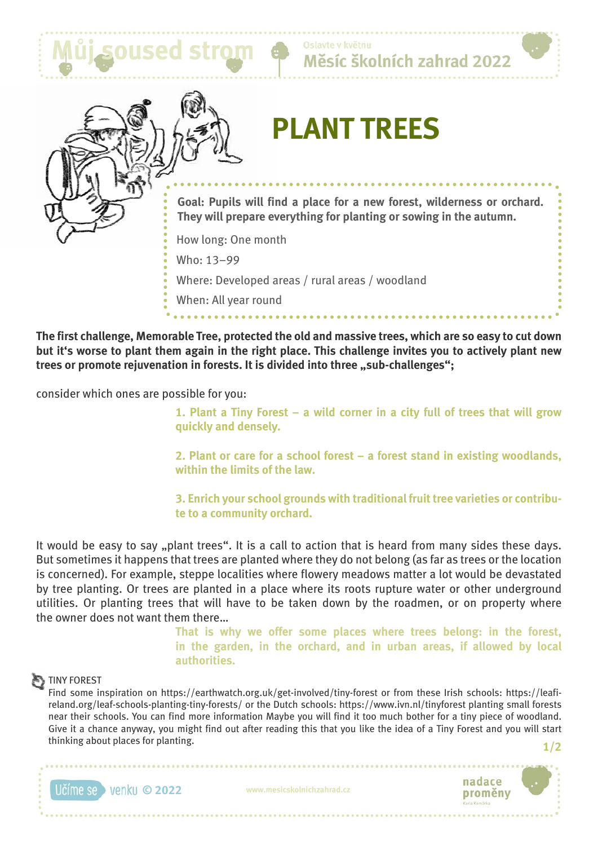





# **PLANT TREES**

**Goal: Pupils will find a place for a new forest, wilderness or orchard. They will prepare everything for planting or sowing in the autumn.**

How long: One month

Who: 13–99

Where: Developed areas / rural areas / woodland

When: All year round

**The first challenge, Memorable Tree, protected the old and massive trees, which are so easy to cut down but it's worse to plant them again in the right place. This challenge invites you to actively plant new**  trees or promote rejuvenation in forests. It is divided into three "sub-challenges";

consider which ones are possible for you:

**1. Plant a Tiny Forest – a wild corner in a city full of trees that will grow quickly and densely.**

**2. Plant or care for a school forest – a forest stand in existing woodlands, within the limits of the law.**

**3. Enrich your school grounds with traditional fruit tree varieties or contribute to a community orchard.**

It would be easy to say "plant trees". It is a call to action that is heard from many sides these days. But sometimes it happens that trees are planted where they do not belong (as far as trees or the location is concerned). For example, steppe localities where flowery meadows matter a lot would be devastated by tree planting. Or trees are planted in a place where its roots rupture water or other underground utilities. Or planting trees that will have to be taken down by the roadmen, or on property where the owner does not want them there…

**That is why we offer some places where trees belong: in the forest, in the garden, in the orchard, and in urban areas, if allowed by local authorities.**

## TINY FOREST

Find some inspiration on https://earthwatch.org.uk/get-involved/tiny-forest or from these Irish schools: https://leafireland.org/leaf-schools-planting-tiny-forests/ or the Dutch schools: https://www.ivn.nl/tinyforest planting small forests near their schools. You can find more information Maybe you will find it too much bother for a tiny piece of woodland. Give it a chance anyway, you might find out after reading this that you like the idea of a Tiny Forest and you will start thinking about places for planting.

**© 2022 www.mesicskolnichzahrad.cz**



**1/2**